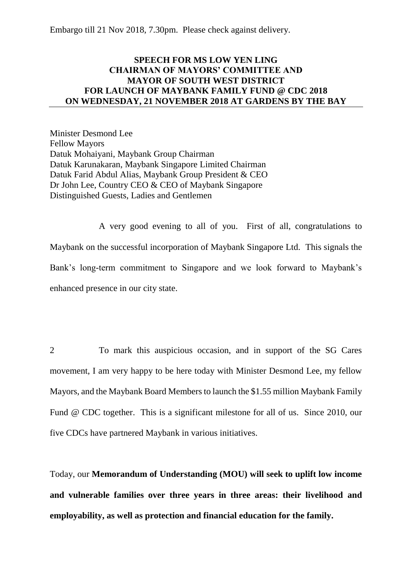Embargo till 21 Nov 2018, 7.30pm. Please check against delivery.

# **SPEECH FOR MS LOW YEN LING CHAIRMAN OF MAYORS' COMMITTEE AND MAYOR OF SOUTH WEST DISTRICT FOR LAUNCH OF MAYBANK FAMILY FUND @ CDC 2018 ON WEDNESDAY, 21 NOVEMBER 2018 AT GARDENS BY THE BAY**

Minister Desmond Lee Fellow Mayors Datuk Mohaiyani, Maybank Group Chairman Datuk Karunakaran, Maybank Singapore Limited Chairman Datuk Farid Abdul Alias, Maybank Group President & CEO Dr John Lee, Country CEO & CEO of Maybank Singapore Distinguished Guests, Ladies and Gentlemen

A very good evening to all of you. First of all, congratulations to Maybank on the successful incorporation of Maybank Singapore Ltd. This signals the Bank's long-term commitment to Singapore and we look forward to Maybank's enhanced presence in our city state.

2 To mark this auspicious occasion, and in support of the SG Cares movement, I am very happy to be here today with Minister Desmond Lee, my fellow Mayors, and the Maybank Board Members to launch the \$1.55 million Maybank Family Fund @ CDC together. This is a significant milestone for all of us. Since 2010, our five CDCs have partnered Maybank in various initiatives.

Today, our **Memorandum of Understanding (MOU) will seek to uplift low income and vulnerable families over three years in three areas: their livelihood and employability, as well as protection and financial education for the family.**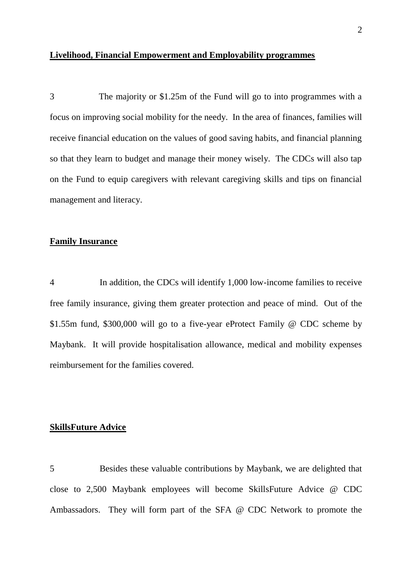#### **Livelihood, Financial Empowerment and Employability programmes**

3 The majority or \$1.25m of the Fund will go to into programmes with a focus on improving social mobility for the needy. In the area of finances, families will receive financial education on the values of good saving habits, and financial planning so that they learn to budget and manage their money wisely. The CDCs will also tap on the Fund to equip caregivers with relevant caregiving skills and tips on financial management and literacy.

## **Family Insurance**

4 In addition, the CDCs will identify 1,000 low-income families to receive free family insurance, giving them greater protection and peace of mind. Out of the \$1.55m fund, \$300,000 will go to a five-year eProtect Family @ CDC scheme by Maybank. It will provide hospitalisation allowance, medical and mobility expenses reimbursement for the families covered.

#### **SkillsFuture Advice**

5 Besides these valuable contributions by Maybank, we are delighted that close to 2,500 Maybank employees will become SkillsFuture Advice @ CDC Ambassadors. They will form part of the SFA @ CDC Network to promote the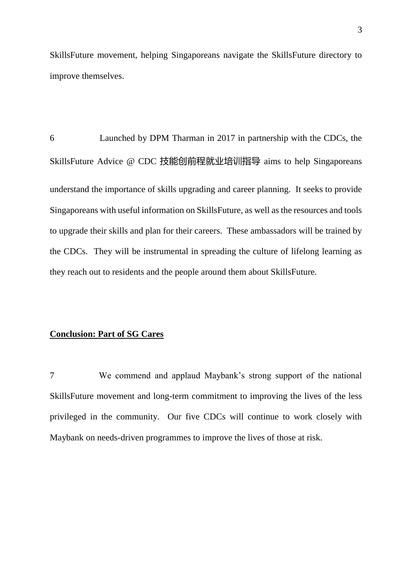SkillsFuture movement, helping Singaporeans navigate the SkillsFuture directory to improve themselves.

6 Launched by DPM Tharman in 2017 in partnership with the CDCs, the SkillsFuture Advice @ CDC 技能创前程就业培训指导 aims to help Singaporeans understand the importance of skills upgrading and career planning. It seeks to provide Singaporeans with useful information on SkillsFuture, as well as the resources and tools to upgrade their skills and plan for their careers. These ambassadors will be trained by the CDCs. They will be instrumental in spreading the culture of lifelong learning as they reach out to residents and the people around them about SkillsFuture.

## **Conclusion: Part of SG Cares**

7 We commend and applaud Maybank's strong support of the national SkillsFuture movement and long-term commitment to improving the lives of the less privileged in the community. Our five CDCs will continue to work closely with Maybank on needs-driven programmes to improve the lives of those at risk.